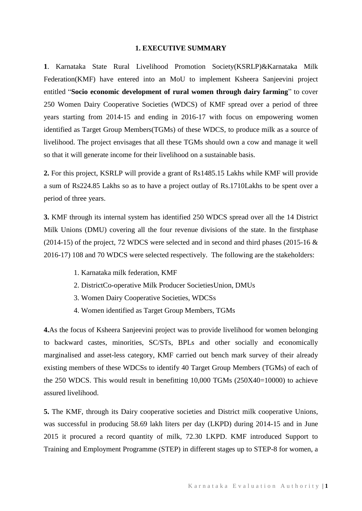#### **1. EXECUTIVE SUMMARY**

**1**. Karnataka State Rural Livelihood Promotion Society(KSRLP)&Karnataka Milk Federation(KMF) have entered into an MoU to implement Ksheera Sanjeevini project entitled "**Socio economic development of rural women through dairy farming**" to cover 250 Women Dairy Cooperative Societies (WDCS) of KMF spread over a period of three years starting from 2014-15 and ending in 2016-17 with focus on empowering women identified as Target Group Members(TGMs) of these WDCS, to produce milk as a source of livelihood. The project envisages that all these TGMs should own a cow and manage it well so that it will generate income for their livelihood on a sustainable basis.

**2.** For this project, KSRLP will provide a grant of Rs1485.15 Lakhs while KMF will provide a sum of Rs224.85 Lakhs so as to have a project outlay of Rs.1710Lakhs to be spent over a period of three years.

**3.** KMF through its internal system has identified 250 WDCS spread over all the 14 District Milk Unions (DMU) covering all the four revenue divisions of the state. In the firstphase (2014-15) of the project, 72 WDCS were selected and in second and third phases (2015-16  $\&$ 2016-17) 108 and 70 WDCS were selected respectively. The following are the stakeholders:

- 1. Karnataka milk federation, KMF
- 2. DistrictCo-operative Milk Producer SocietiesUnion, DMUs
- 3. Women Dairy Cooperative Societies, WDCSs
- 4. Women identified as Target Group Members, TGMs

**4.**As the focus of Ksheera Sanjeevini project was to provide livelihood for women belonging to backward castes, minorities, SC/STs, BPLs and other socially and economically marginalised and asset-less category, KMF carried out bench mark survey of their already existing members of these WDCSs to identify 40 Target Group Members (TGMs) of each of the 250 WDCS. This would result in benefitting 10,000 TGMs (250X40=10000) to achieve assured livelihood.

**5.** The KMF, through its Dairy cooperative societies and District milk cooperative Unions, was successful in producing 58.69 lakh liters per day (LKPD) during 2014-15 and in June 2015 it procured a record quantity of milk, 72.30 LKPD. KMF introduced Support to Training and Employment Programme (STEP) in different stages up to STEP-8 for women, a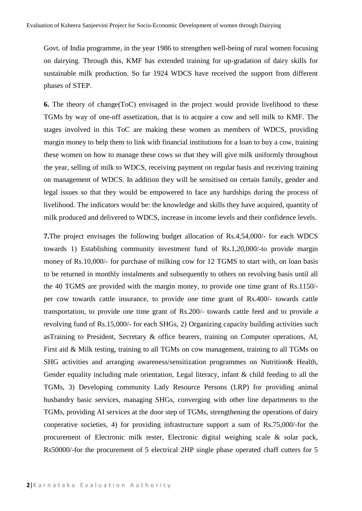Govt. of India programme, in the year 1986 to strengthen well-being of rural women focusing on dairying. Through this, KMF has extended training for up-gradation of dairy skills for sustainable milk production. So far 1924 WDCS have received the support from different phases of STEP.

**6.** The theory of change(ToC) envisaged in the project would provide livelihood to these TGMs by way of one-off assetization, that is to acquire a cow and sell milk to KMF. The stages involved in this ToC are making these women as members of WDCS, providing margin money to help them to link with financial institutions for a loan to buy a cow, training these women on how to manage these cows so that they will give milk uniformly throughout the year, selling of milk to WDCS, receiving payment on regular basis and receiving training on management of WDCS. In addition they will be sensitised on certain family, gender and legal issues so that they would be empowered to face any hardships during the process of livelihood. The indicators would be: the knowledge and skills they have acquired, quantity of milk produced and delivered to WDCS, increase in income levels and their confidence levels.

**7.**The project envisages the following budget allocation of Rs.4,54,000/- for each WDCS towards 1) Establishing community investment fund of Rs.1,20,000/-to provide margin money of Rs.10,000/- for purchase of milking cow for 12 TGMS to start with, on loan basis to be returned in monthly instalments and subsequently to others on revolving basis until all the 40 TGMS are provided with the margin money, to provide one time grant of Rs.1150/ per cow towards cattle insurance, to provide one time grant of Rs.400/- towards cattle transportation, to provide one time grant of Rs.200/- towards cattle feed and to provide a revolving fund of Rs.15,000/- for each SHGs, 2) Organizing capacity building activities such asTraining to President, Secretary & office bearers, training on Computer operations, AI, First aid & Milk testing, training to all TGMs on cow management, training to all TGMs on SHG activities and arranging awareness/sensitization programmes on Nutrition& Health, Gender equality including male orientation, Legal literacy, infant & child feeding to all the TGMs, 3) Developing community Lady Resource Persons (LRP) for providing animal husbandry basic services, managing SHGs, converging with other line departments to the TGMs, providing AI services at the door step of TGMs, strengthening the operations of dairy cooperative societies, 4) for providing infrastructure support a sum of Rs.75,000/-for the procurement of Electronic milk tester, Electronic digital weighing scale & solar pack, Rs50000/-for the procurement of 5 electrical 2HP single phase operated chaff cutters for 5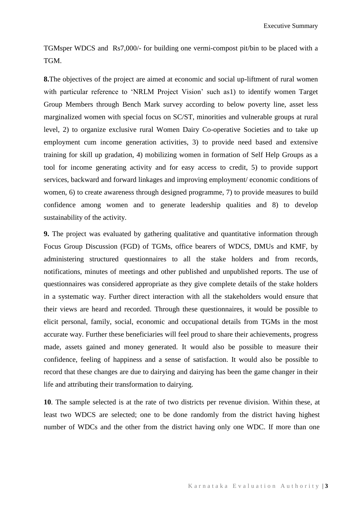TGMsper WDCS and Rs7,000/- for building one vermi-compost pit/bin to be placed with a TGM.

**8.**The objectives of the project are aimed at economic and social up-liftment of rural women with particular reference to 'NRLM Project Vision' such as1) to identify women Target Group Members through Bench Mark survey according to below poverty line, asset less marginalized women with special focus on SC/ST, minorities and vulnerable groups at rural level, 2) to organize exclusive rural Women Dairy Co-operative Societies and to take up employment cum income generation activities, 3) to provide need based and extensive training for skill up gradation, 4) mobilizing women in formation of Self Help Groups as a tool for income generating activity and for easy access to credit, 5) to provide support services, backward and forward linkages and improving employment/ economic conditions of women, 6) to create awareness through designed programme, 7) to provide measures to build confidence among women and to generate leadership qualities and 8) to develop sustainability of the activity.

**9.** The project was evaluated by gathering qualitative and quantitative information through Focus Group Discussion (FGD) of TGMs, office bearers of WDCS, DMUs and KMF, by administering structured questionnaires to all the stake holders and from records, notifications, minutes of meetings and other published and unpublished reports. The use of questionnaires was considered appropriate as they give complete details of the stake holders in a systematic way. Further direct interaction with all the stakeholders would ensure that their views are heard and recorded. Through these questionnaires, it would be possible to elicit personal, family, social, economic and occupational details from TGMs in the most accurate way. Further these beneficiaries will feel proud to share their achievements, progress made, assets gained and money generated. It would also be possible to measure their confidence, feeling of happiness and a sense of satisfaction. It would also be possible to record that these changes are due to dairying and dairying has been the game changer in their life and attributing their transformation to dairying.

**10**. The sample selected is at the rate of two districts per revenue division. Within these, at least two WDCS are selected; one to be done randomly from the district having highest number of WDCs and the other from the district having only one WDC. If more than one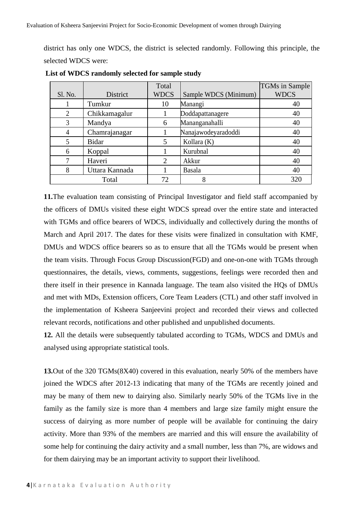district has only one WDCS, the district is selected randomly. Following this principle, the selected WDCS were:

|                |                | Total                 |                       | <b>TGMs</b> in Sample |
|----------------|----------------|-----------------------|-----------------------|-----------------------|
| Sl. No.        | District       | <b>WDCS</b>           | Sample WDCS (Minimum) | <b>WDCS</b>           |
|                | Tumkur         | 10                    | Manangi               | 40                    |
| $\mathfrak{D}$ | Chikkamagalur  |                       | Doddapattanagere      | 40                    |
|                | Mandya         | 6                     | Mananganahalli        | 40                    |
|                | Chamrajanagar  |                       | Nanajawodeyaradoddi   | 40                    |
|                | <b>Bidar</b>   | 5                     | Kollara (K)           | 40                    |
| 6              | Koppal         |                       | Kurubnal              | 40                    |
|                | Haveri         | $\mathcal{D}_{\cdot}$ | Akkur                 | 40                    |
| 8              | Uttara Kannada |                       | Basala                | 40                    |
| Total          |                | 72                    | 8                     | 320                   |

**List of WDCS randomly selected for sample study**

**11.**The evaluation team consisting of Principal Investigator and field staff accompanied by the officers of DMUs visited these eight WDCS spread over the entire state and interacted with TGMs and office bearers of WDCS, individually and collectively during the months of March and April 2017. The dates for these visits were finalized in consultation with KMF, DMUs and WDCS office bearers so as to ensure that all the TGMs would be present when the team visits. Through Focus Group Discussion(FGD) and one-on-one with TGMs through questionnaires, the details, views, comments, suggestions, feelings were recorded then and there itself in their presence in Kannada language. The team also visited the HQs of DMUs and met with MDs, Extension officers, Core Team Leaders (CTL) and other staff involved in the implementation of Ksheera Sanjeevini project and recorded their views and collected relevant records, notifications and other published and unpublished documents.

**12.** All the details were subsequently tabulated according to TGMs, WDCS and DMUs and analysed using appropriate statistical tools.

**13.**Out of the 320 TGMs(8X40) covered in this evaluation, nearly 50% of the members have joined the WDCS after 2012-13 indicating that many of the TGMs are recently joined and may be many of them new to dairying also. Similarly nearly 50% of the TGMs live in the family as the family size is more than 4 members and large size family might ensure the success of dairying as more number of people will be available for continuing the dairy activity. More than 93% of the members are married and this will ensure the availability of some help for continuing the dairy activity and a small number, less than 7%, are widows and for them dairying may be an important activity to support their livelihood.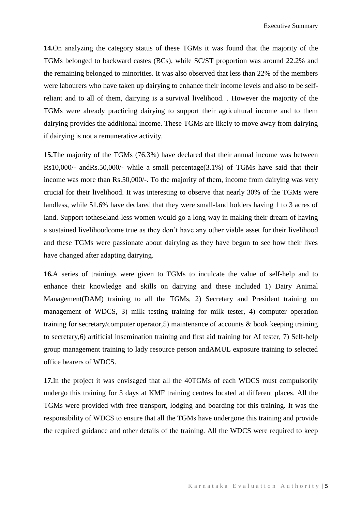Executive Summary

**14.**On analyzing the category status of these TGMs it was found that the majority of the TGMs belonged to backward castes (BCs), while SC/ST proportion was around 22.2% and the remaining belonged to minorities. It was also observed that less than 22% of the members were labourers who have taken up dairying to enhance their income levels and also to be selfreliant and to all of them, dairying is a survival livelihood. . However the majority of the TGMs were already practicing dairying to support their agricultural income and to them dairying provides the additional income. These TGMs are likely to move away from dairying if dairying is not a remunerative activity.

**15.**The majority of the TGMs (76.3%) have declared that their annual income was between Rs10,000/- andRs.50,000/- while a small percentage(3.1%) of TGMs have said that their income was more than Rs.50,000/-. To the majority of them, income from dairying was very crucial for their livelihood. It was interesting to observe that nearly 30% of the TGMs were landless, while 51.6% have declared that they were small-land holders having 1 to 3 acres of land. Support totheseland-less women would go a long way in making their dream of having a sustained livelihoodcome true as they don't have any other viable asset for their livelihood and these TGMs were passionate about dairying as they have begun to see how their lives have changed after adapting dairying.

**16.**A series of trainings were given to TGMs to inculcate the value of self-help and to enhance their knowledge and skills on dairying and these included 1) Dairy Animal Management(DAM) training to all the TGMs, 2) Secretary and President training on management of WDCS, 3) milk testing training for milk tester, 4) computer operation training for secretary/computer operator,5) maintenance of accounts & book keeping training to secretary,6) artificial insemination training and first aid training for AI tester, 7) Self-help group management training to lady resource person andAMUL exposure training to selected office bearers of WDCS.

**17.**In the project it was envisaged that all the 40TGMs of each WDCS must compulsorily undergo this training for 3 days at KMF training centres located at different places. All the TGMs were provided with free transport, lodging and boarding for this training. It was the responsibility of WDCS to ensure that all the TGMs have undergone this training and provide the required guidance and other details of the training. All the WDCS were required to keep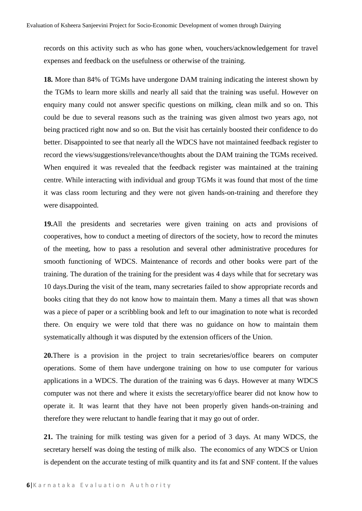records on this activity such as who has gone when, vouchers/acknowledgement for travel expenses and feedback on the usefulness or otherwise of the training.

**18.** More than 84% of TGMs have undergone DAM training indicating the interest shown by the TGMs to learn more skills and nearly all said that the training was useful. However on enquiry many could not answer specific questions on milking, clean milk and so on. This could be due to several reasons such as the training was given almost two years ago, not being practiced right now and so on. But the visit has certainly boosted their confidence to do better. Disappointed to see that nearly all the WDCS have not maintained feedback register to record the views/suggestions/relevance/thoughts about the DAM training the TGMs received. When enquired it was revealed that the feedback register was maintained at the training centre. While interacting with individual and group TGMs it was found that most of the time it was class room lecturing and they were not given hands-on-training and therefore they were disappointed.

**19.**All the presidents and secretaries were given training on acts and provisions of cooperatives, how to conduct a meeting of directors of the society, how to record the minutes of the meeting, how to pass a resolution and several other administrative procedures for smooth functioning of WDCS. Maintenance of records and other books were part of the training. The duration of the training for the president was 4 days while that for secretary was 10 days.During the visit of the team, many secretaries failed to show appropriate records and books citing that they do not know how to maintain them. Many a times all that was shown was a piece of paper or a scribbling book and left to our imagination to note what is recorded there. On enquiry we were told that there was no guidance on how to maintain them systematically although it was disputed by the extension officers of the Union.

**20.**There is a provision in the project to train secretaries/office bearers on computer operations. Some of them have undergone training on how to use computer for various applications in a WDCS. The duration of the training was 6 days. However at many WDCS computer was not there and where it exists the secretary/office bearer did not know how to operate it. It was learnt that they have not been properly given hands-on-training and therefore they were reluctant to handle fearing that it may go out of order.

**21.** The training for milk testing was given for a period of 3 days. At many WDCS, the secretary herself was doing the testing of milk also. The economics of any WDCS or Union is dependent on the accurate testing of milk quantity and its fat and SNF content. If the values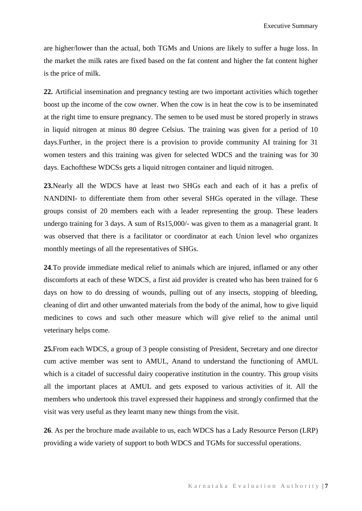are higher/lower than the actual, both TGMs and Unions are likely to suffer a huge loss. In the market the milk rates are fixed based on the fat content and higher the fat content higher is the price of milk.

**22.** Artificial insemination and pregnancy testing are two important activities which together boost up the income of the cow owner. When the cow is in heat the cow is to be inseminated at the right time to ensure pregnancy. The semen to be used must be stored properly in straws in liquid nitrogen at minus 80 degree Celsius. The training was given for a period of 10 days.Further, in the project there is a provision to provide community AI training for 31 women testers and this training was given for selected WDCS and the training was for 30 days. Eachofthese WDCSs gets a liquid nitrogen container and liquid nitrogen.

**23.**Nearly all the WDCS have at least two SHGs each and each of it has a prefix of NANDINI- to differentiate them from other several SHGs operated in the village. These groups consist of 20 members each with a leader representing the group. These leaders undergo training for 3 days. A sum of Rs15,000/- was given to them as a managerial grant. It was observed that there is a facilitator or coordinator at each Union level who organizes monthly meetings of all the representatives of SHGs.

**24**.To provide immediate medical relief to animals which are injured, inflamed or any other discomforts at each of these WDCS, a first aid provider is created who has been trained for 6 days on how to do dressing of wounds, pulling out of any insects, stopping of bleeding, cleaning of dirt and other unwanted materials from the body of the animal, how to give liquid medicines to cows and such other measure which will give relief to the animal until veterinary helps come.

**25.**From each WDCS, a group of 3 people consisting of President, Secretary and one director cum active member was sent to AMUL, Anand to understand the functioning of AMUL which is a citadel of successful dairy cooperative institution in the country. This group visits all the important places at AMUL and gets exposed to various activities of it. All the members who undertook this travel expressed their happiness and strongly confirmed that the visit was very useful as they learnt many new things from the visit.

**26**. As per the brochure made available to us, each WDCS has a Lady Resource Person (LRP) providing a wide variety of support to both WDCS and TGMs for successful operations.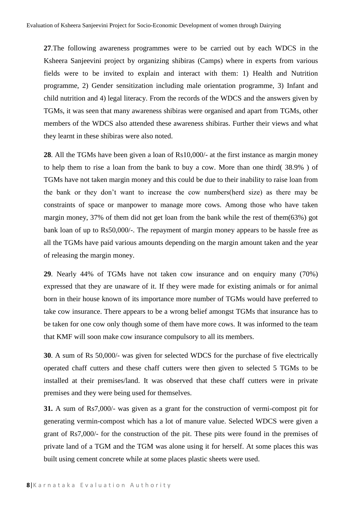**27**.The following awareness programmes were to be carried out by each WDCS in the Ksheera Sanjeevini project by organizing shibiras (Camps) where in experts from various fields were to be invited to explain and interact with them: 1) Health and Nutrition programme, 2) Gender sensitization including male orientation programme, 3) Infant and child nutrition and 4) legal literacy. From the records of the WDCS and the answers given by TGMs, it was seen that many awareness shibiras were organised and apart from TGMs, other members of the WDCS also attended these awareness shibiras. Further their views and what they learnt in these shibiras were also noted.

**28**. All the TGMs have been given a loan of Rs10,000/- at the first instance as margin money to help them to rise a loan from the bank to buy a cow. More than one third( 38.9% ) of TGMs have not taken margin money and this could be due to their inability to raise loan from the bank or they don't want to increase the cow numbers(herd size) as there may be constraints of space or manpower to manage more cows. Among those who have taken margin money, 37% of them did not get loan from the bank while the rest of them(63%) got bank loan of up to Rs50,000/-. The repayment of margin money appears to be hassle free as all the TGMs have paid various amounts depending on the margin amount taken and the year of releasing the margin money.

**29**. Nearly 44% of TGMs have not taken cow insurance and on enquiry many (70%) expressed that they are unaware of it. If they were made for existing animals or for animal born in their house known of its importance more number of TGMs would have preferred to take cow insurance. There appears to be a wrong belief amongst TGMs that insurance has to be taken for one cow only though some of them have more cows. It was informed to the team that KMF will soon make cow insurance compulsory to all its members.

**30**. A sum of Rs 50,000/- was given for selected WDCS for the purchase of five electrically operated chaff cutters and these chaff cutters were then given to selected 5 TGMs to be installed at their premises/land. It was observed that these chaff cutters were in private premises and they were being used for themselves.

**31.** A sum of Rs7,000/- was given as a grant for the construction of vermi-compost pit for generating vermin-compost which has a lot of manure value. Selected WDCS were given a grant of Rs7,000/- for the construction of the pit. These pits were found in the premises of private land of a TGM and the TGM was alone using it for herself. At some places this was built using cement concrete while at some places plastic sheets were used.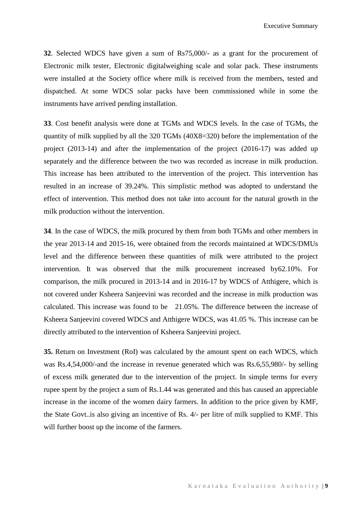**32**. Selected WDCS have given a sum of Rs75,000/- as a grant for the procurement of Electronic milk tester, Electronic digitalweighing scale and solar pack. These instruments were installed at the Society office where milk is received from the members, tested and dispatched. At some WDCS solar packs have been commissioned while in some the instruments have arrived pending installation.

**33**. Cost benefit analysis were done at TGMs and WDCS levels. In the case of TGMs, the quantity of milk supplied by all the 320 TGMs (40X8=320) before the implementation of the project (2013-14) and after the implementation of the project (2016-17) was added up separately and the difference between the two was recorded as increase in milk production. This increase has been attributed to the intervention of the project. This intervention has resulted in an increase of 39.24%. This simplistic method was adopted to understand the effect of intervention. This method does not take into account for the natural growth in the milk production without the intervention.

**34**. In the case of WDCS, the milk procured by them from both TGMs and other members in the year 2013-14 and 2015-16, were obtained from the records maintained at WDCS/DMUs level and the difference between these quantities of milk were attributed to the project intervention. It was observed that the milk procurement increased by62.10%. For comparison, the milk procured in 2013-14 and in 2016-17 by WDCS of Atthigere, which is not covered under Ksheera Sanjeevini was recorded and the increase in milk production was calculated. This increase was found to be 21.05%. The difference between the increase of Ksheera Sanjeevini covered WDCS and Atthigere WDCS, was 41.05 %. This increase can be directly attributed to the intervention of Ksheera Sanjeevini project.

**35.** Return on Investment (RoI) was calculated by the amount spent on each WDCS, which was Rs.4,54,000/-and the increase in revenue generated which was Rs.6,55,980/- by selling of excess milk generated due to the intervention of the project. In simple terms for every rupee spent by the project a sum of Rs.1.44 was generated and this has caused an appreciable increase in the income of the women dairy farmers. In addition to the price given by KMF, the State Govt..is also giving an incentive of Rs. 4/- per litre of milk supplied to KMF. This will further boost up the income of the farmers.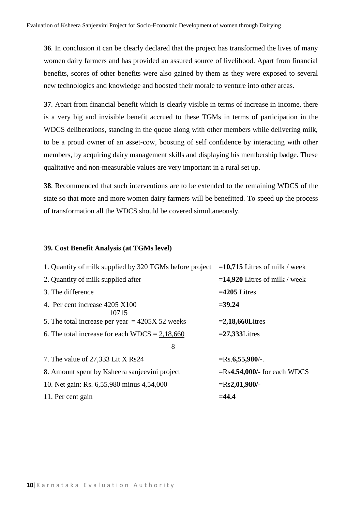**36**. In conclusion it can be clearly declared that the project has transformed the lives of many women dairy farmers and has provided an assured source of livelihood. Apart from financial benefits, scores of other benefits were also gained by them as they were exposed to several new technologies and knowledge and boosted their morale to venture into other areas.

**37**. Apart from financial benefit which is clearly visible in terms of increase in income, there is a very big and invisible benefit accrued to these TGMs in terms of participation in the WDCS deliberations, standing in the queue along with other members while delivering milk, to be a proud owner of an asset-cow, boosting of self confidence by interacting with other members, by acquiring dairy management skills and displaying his membership badge. These qualitative and non-measurable values are very important in a rural set up.

**38**. Recommended that such interventions are to be extended to the remaining WDCS of the state so that more and more women dairy farmers will be benefitted. To speed up the process of transformation all the WDCS should be covered simultaneously.

#### **39. Cost Benefit Analysis (at TGMs level)**

| 1. Quantity of milk supplied by 320 TGMs before project | $=$ <b>10,715</b> Litres of milk / week |
|---------------------------------------------------------|-----------------------------------------|
| 2. Quantity of milk supplied after                      | $=$ <b>14,920</b> Litres of milk / week |
| 3. The difference                                       | $=4205$ Litres                          |
| 4. Per cent increase 4205 X100<br>10715                 | $= 39.24$                               |
| 5. The total increase per year $=$ 4205X 52 weeks       | $=2,18,660$ Litres                      |
| 6. The total increase for each WDCS = $2,18,660$        | $=27,333$ Litres                        |
| 8                                                       |                                         |
| 7. The value of 27,333 Lit X Rs24                       | $=$ Rs.6,55,980/-.                      |
| 8. Amount spent by Ksheera sanjeevini project           | $=Rs4.54,000/$ - for each WDCS          |
| 10. Net gain: Rs. 6,55,980 minus 4,54,000               | $=Rs2,01,980/$ -                        |
| 11. Per cent gain                                       | $= 44.4$                                |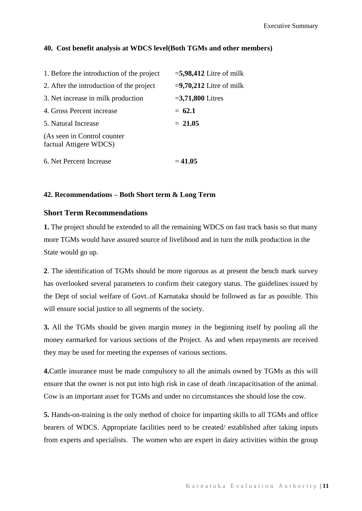## **40. Cost benefit analysis at WDCS level(Both TGMs and other members)**

| 1. Before the introduction of the project             | $=$ 5,98,412 Litre of milk |
|-------------------------------------------------------|----------------------------|
| 2. After the introduction of the project              | $= 9,70,212$ Litre of milk |
| 3. Net increase in milk production                    | $=3,71,800$ Litres         |
| 4. Gross Percent increase                             | $= 62.1$                   |
| 5. Natural Increase                                   | $= 21.05$                  |
| (As seen in Control counter<br>factual Attigere WDCS) |                            |
| 6. Net Percent Increase                               | $= 41.05$                  |

### **42. Recommendations – Both Short term & Long Term**

## **Short Term Recommendations**

**1.** The project should be extended to all the remaining WDCS on fast track basis so that many more TGMs would have assured source of livelihood and in turn the milk production in the State would go up.

**2**. The identification of TGMs should be more rigorous as at present the bench mark survey has overlooked several parameters to confirm their category status. The guidelines issued by the Dept of social welfare of Govt..of Karnataka should be followed as far as possible. This will ensure social justice to all segments of the society.

**3.** All the TGMs should be given margin money in the beginning itself by pooling all the money earmarked for various sections of the Project. As and when repayments are received they may be used for meeting the expenses of various sections.

**4.**Cattle insurance must be made compulsory to all the animals owned by TGMs as this will ensure that the owner is not put into high risk in case of death /incapacitisation of the animal. Cow is an important asset for TGMs and under no circumstances she should lose the cow.

**5.** Hands-on-training is the only method of choice for imparting skills to all TGMs and office bearers of WDCS. Appropriate facilities need to be created/ established after taking inputs from experts and specialists. The women who are expert in dairy activities within the group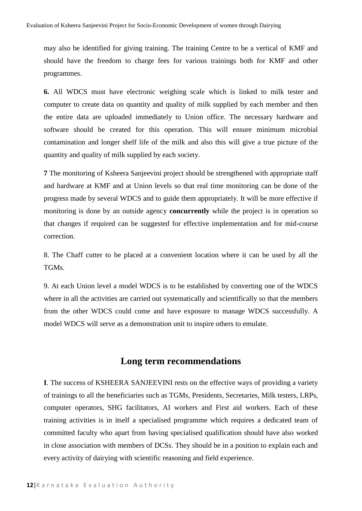may also be identified for giving training. The training Centre to be a vertical of KMF and should have the freedom to charge fees for various trainings both for KMF and other programmes.

**6.** All WDCS must have electronic weighing scale which is linked to milk tester and computer to create data on quantity and quality of milk supplied by each member and then the entire data are uploaded immediately to Union office. The necessary hardware and software should be created for this operation. This will ensure minimum microbial contamination and longer shelf life of the milk and also this will give a true picture of the quantity and quality of milk supplied by each society.

**7** The monitoring of Ksheera Sanjeevini project should be strengthened with appropriate staff and hardware at KMF and at Union levels so that real time monitoring can be done of the progress made by several WDCS and to guide them appropriately. It will be more effective if monitoring is done by an outside agency **concurrently** while the project is in operation so that changes if required can be suggested for effective implementation and for mid-course correction.

8. The Chaff cutter to be placed at a convenient location where it can be used by all the TGMs.

9. At each Union level a model WDCS is to be established by converting one of the WDCS where in all the activities are carried out systematically and scientifically so that the members from the other WDCS could come and have exposure to manage WDCS successfully. A model WDCS will serve as a demonstration unit to inspire others to emulate.

# **Long term recommendations**

**I**. The success of KSHEERA SANJEEVINI rests on the effective ways of providing a variety of trainings to all the beneficiaries such as TGMs, Presidents, Secretaries, Milk testers, LRPs, computer operators, SHG facilitators, AI workers and First aid workers. Each of these training activities is in itself a specialised programme which requires a dedicated team of committed faculty who apart from having specialised qualification should have also worked in close association with members of DCSs. They should be in a position to explain each and every activity of dairying with scientific reasoning and field experience.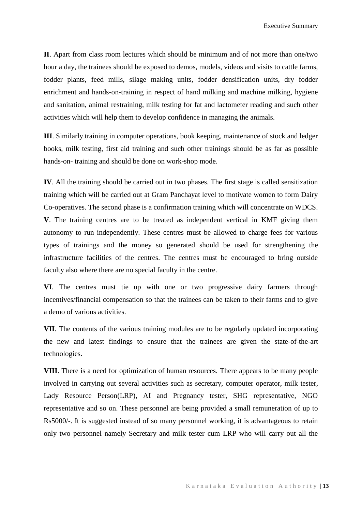Executive Summary

**II**. Apart from class room lectures which should be minimum and of not more than one/two hour a day, the trainees should be exposed to demos, models, videos and visits to cattle farms, fodder plants, feed mills, silage making units, fodder densification units, dry fodder enrichment and hands-on-training in respect of hand milking and machine milking, hygiene and sanitation, animal restraining, milk testing for fat and lactometer reading and such other activities which will help them to develop confidence in managing the animals.

**III**. Similarly training in computer operations, book keeping, maintenance of stock and ledger books, milk testing, first aid training and such other trainings should be as far as possible hands-on- training and should be done on work-shop mode.

**IV**. All the training should be carried out in two phases. The first stage is called sensitization training which will be carried out at Gram Panchayat level to motivate women to form Dairy Co-operatives. The second phase is a confirmation training which will concentrate on WDCS. **V**. The training centres are to be treated as independent vertical in KMF giving them autonomy to run independently. These centres must be allowed to charge fees for various types of trainings and the money so generated should be used for strengthening the infrastructure facilities of the centres. The centres must be encouraged to bring outside faculty also where there are no special faculty in the centre.

**VI**. The centres must tie up with one or two progressive dairy farmers through incentives/financial compensation so that the trainees can be taken to their farms and to give a demo of various activities.

**VII**. The contents of the various training modules are to be regularly updated incorporating the new and latest findings to ensure that the trainees are given the state-of-the-art technologies.

**VIII**. There is a need for optimization of human resources. There appears to be many people involved in carrying out several activities such as secretary, computer operator, milk tester, Lady Resource Person(LRP), AI and Pregnancy tester, SHG representative, NGO representative and so on. These personnel are being provided a small remuneration of up to Rs5000/-. It is suggested instead of so many personnel working, it is advantageous to retain only two personnel namely Secretary and milk tester cum LRP who will carry out all the

K a r n a t a k a E v a l u a t i o n A u t h o r i t y | **13**